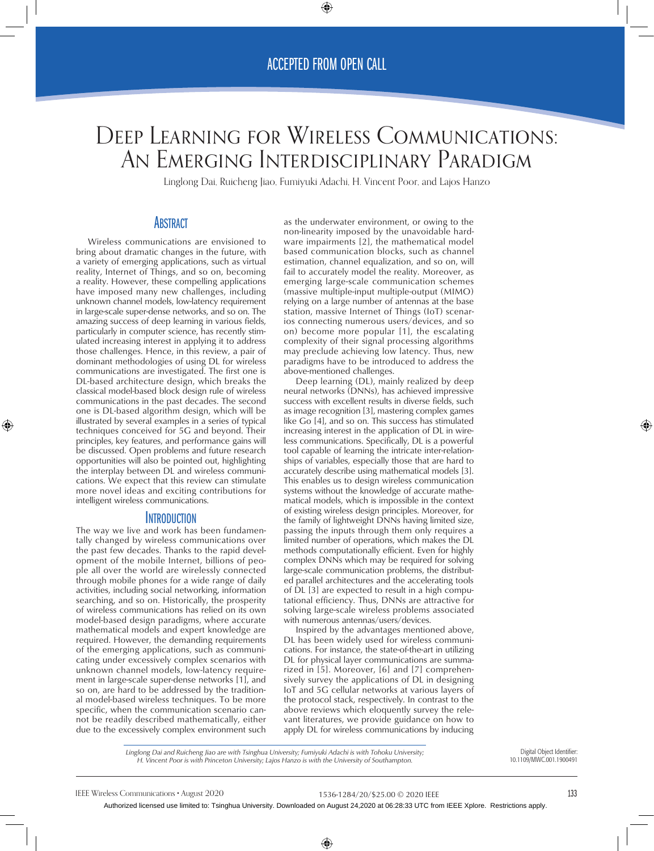# Deep Learning for Wireless Communications: An Emerging Interdisciplinary Paradigm

Linglong Dai, Ruicheng Jiao, Fumiyuki Adachi, H. Vincent Poor, and Lajos Hanzo

# **ABSTRACT**

Wireless communications are envisioned to bring about dramatic changes in the future, with a variety of emerging applications, such as virtual reality, Internet of Things, and so on, becoming a reality. However, these compelling applications have imposed many new challenges, including unknown channel models, low-latency requirement in large-scale super-dense networks, and so on. The amazing success of deep learning in various fields, particularly in computer science, has recently stimulated increasing interest in applying it to address those challenges. Hence, in this review, a pair of dominant methodologies of using DL for wireless communications are investigated. The first one is DL-based architecture design, which breaks the classical model-based block design rule of wireless communications in the past decades. The second one is DL-based algorithm design, which will be illustrated by several examples in a series of typical techniques conceived for 5G and beyond. Their principles, key features, and performance gains will be discussed. Open problems and future research opportunities will also be pointed out, highlighting the interplay between DL and wireless communications. We expect that this review can stimulate more novel ideas and exciting contributions for intelligent wireless communications.

## **INTRODUCTION**

The way we live and work has been fundamentally changed by wireless communications over the past few decades. Thanks to the rapid development of the mobile Internet, billions of people all over the world are wirelessly connected through mobile phones for a wide range of daily activities, including social networking, information searching, and so on. Historically, the prosperity of wireless communications has relied on its own model-based design paradigms, where accurate mathematical models and expert knowledge are required. However, the demanding requirements of the emerging applications, such as communicating under excessively complex scenarios with unknown channel models, low-latency requirement in large-scale super-dense networks [1], and so on, are hard to be addressed by the traditional model-based wireless techniques. To be more specific, when the communication scenario cannot be readily described mathematically, either due to the excessively complex environment such

as the underwater environment, or owing to the non-linearity imposed by the unavoidable hardware impairments [2], the mathematical model based communication blocks, such as channel estimation, channel equalization, and so on, will fail to accurately model the reality. Moreover, as emerging large-scale communication schemes (massive multiple-input multiple-output (MIMO) relying on a large number of antennas at the base station, massive Internet of Things (IoT) scenarios connecting numerous users/devices, and so on) become more popular [1], the escalating complexity of their signal processing algorithms may preclude achieving low latency. Thus, new paradigms have to be introduced to address the above-mentioned challenges.

Deep learning (DL), mainly realized by deep neural networks (DNNs), has achieved impressive success with excellent results in diverse fields, such as image recognition [3], mastering complex games like Go [4], and so on. This success has stimulated increasing interest in the application of DL in wireless communications. Specifically, DL is a powerful tool capable of learning the intricate inter-relationships of variables, especially those that are hard to accurately describe using mathematical models [3]. This enables us to design wireless communication systems without the knowledge of accurate mathematical models, which is impossible in the context of existing wireless design principles. Moreover, for the family of lightweight DNNs having limited size, passing the inputs through them only requires a limited number of operations, which makes the DL methods computationally efficient. Even for highly complex DNNs which may be required for solving large-scale communication problems, the distributed parallel architectures and the accelerating tools of DL [3] are expected to result in a high computational efficiency. Thus, DNNs are attractive for solving large-scale wireless problems associated with numerous antennas/users/devices.

Inspired by the advantages mentioned above, DL has been widely used for wireless communications. For instance, the state-of-the-art in utilizing DL for physical layer communications are summarized in [5]. Moreover, [6] and [7] comprehensively survey the applications of DL in designing IoT and 5G cellular networks at various layers of the protocol stack, respectively. In contrast to the above reviews which eloquently survey the relevant literatures, we provide guidance on how to apply DL for wireless communications by inducing

*Linglong Dai and Ruicheng Jiao are with Tsinghua University; Fumiyuki Adachi is with Tohoku University; H. Vincent Poor is with Princeton University; Lajos Hanzo is with the University of Southampton.*

Digital Object Identifier: 10.1109/MWC.001.1900491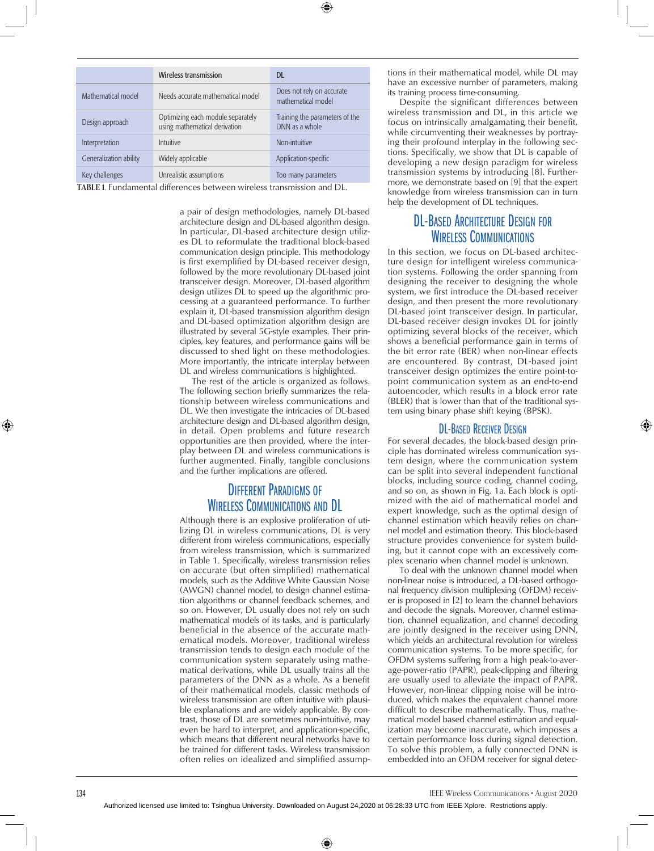|                        | <b>Wireless transmission</b>                                       | <b>DL</b>                                        |
|------------------------|--------------------------------------------------------------------|--------------------------------------------------|
| Mathematical model     | Needs accurate mathematical model                                  | Does not rely on accurate<br>mathematical model  |
| Design approach        | Optimizing each module separately<br>using mathematical derivation | Training the parameters of the<br>DNN as a whole |
| Interpretation         | Intuitive                                                          | Non-intuitive                                    |
| Generalization ability | Widely applicable                                                  | Application-specific                             |
| Key challenges         | Unrealistic assumptions                                            | Too many parameters                              |

**TABLE 1.** Fundamental differences between wireless transmission and DL.

a pair of design methodologies, namely DL-based architecture design and DL-based algorithm design. In particular, DL-based architecture design utilizes DL to reformulate the traditional block-based communication design principle. This methodology is first exemplified by DL-based receiver design, followed by the more revolutionary DL-based joint transceiver design. Moreover, DL-based algorithm design utilizes DL to speed up the algorithmic processing at a guaranteed performance. To further explain it, DL-based transmission algorithm design and DL-based optimization algorithm design are illustrated by several 5G-style examples. Their principles, key features, and performance gains will be discussed to shed light on these methodologies. More importantly, the intricate interplay between DL and wireless communications is highlighted.

The rest of the article is organized as follows. The following section briefly summarizes the relationship between wireless communications and DL. We then investigate the intricacies of DL-based architecture design and DL-based algorithm design, in detail. Open problems and future research opportunities are then provided, where the interplay between DL and wireless communications is further augmented. Finally, tangible conclusions and the further implications are offered.

# Different Paradigms of Wireless Communications and DL

Although there is an explosive proliferation of utilizing DL in wireless communications, DL is very different from wireless communications, especially from wireless transmission, which is summarized in Table 1. Specifically, wireless transmission relies on accurate (but often simplified) mathematical models, such as the Additive White Gaussian Noise (AWGN) channel model, to design channel estimation algorithms or channel feedback schemes, and so on. However, DL usually does not rely on such mathematical models of its tasks, and is particularly beneficial in the absence of the accurate mathematical models. Moreover, traditional wireless transmission tends to design each module of the communication system separately using mathematical derivations, while DL usually trains all the parameters of the DNN as a whole. As a benefit of their mathematical models, classic methods of wireless transmission are often intuitive with plausible explanations and are widely applicable. By contrast, those of DL are sometimes non-intuitive, may even be hard to interpret, and application-specific, which means that different neural networks have to be trained for different tasks. Wireless transmission often relies on idealized and simplified assumptions in their mathematical model, while DL may have an excessive number of parameters, making its training process time-consuming.

Despite the significant differences between wireless transmission and DL, in this article we focus on intrinsically amalgamating their benefit, while circumventing their weaknesses by portraying their profound interplay in the following sections. Specifically, we show that DL is capable of developing a new design paradigm for wireless transmission systems by introducing [8]. Furthermore, we demonstrate based on [9] that the expert knowledge from wireless transmission can in turn help the development of DL techniques.

# DL-BASED ARCHITECTURE DESIGN FOR Wireless Communications

In this section, we focus on DL-based architecture design for intelligent wireless communication systems. Following the order spanning from designing the receiver to designing the whole system, we first introduce the DL-based receiver design, and then present the more revolutionary DL-based joint transceiver design. In particular, DL-based receiver design invokes DL for jointly optimizing several blocks of the receiver, which shows a beneficial performance gain in terms of the bit error rate (BER) when non-linear effects are encountered. By contrast, DL-based joint transceiver design optimizes the entire point-topoint communication system as an end-to-end autoencoder, which results in a block error rate (BLER) that is lower than that of the traditional system using binary phase shift keying (BPSK).

## DL-Based Receiver Design

For several decades, the block-based design principle has dominated wireless communication system design, where the communication system can be split into several independent functional blocks, including source coding, channel coding, and so on, as shown in Fig. 1a. Each block is optimized with the aid of mathematical model and expert knowledge, such as the optimal design of channel estimation which heavily relies on channel model and estimation theory. This block-based structure provides convenience for system building, but it cannot cope with an excessively complex scenario when channel model is unknown.

To deal with the unknown channel model when non-linear noise is introduced, a DL-based orthogonal frequency division multiplexing (OFDM) receiver is proposed in [2] to learn the channel behaviors and decode the signals. Moreover, channel estimation, channel equalization, and channel decoding are jointly designed in the receiver using DNN, which yields an architectural revolution for wireless communication systems. To be more specific, for OFDM systems suffering from a high peak-to-average-power-ratio (PAPR), peak-clipping and filtering are usually used to alleviate the impact of PAPR. However, non-linear clipping noise will be introduced, which makes the equivalent channel more difficult to describe mathematically. Thus, mathematical model based channel estimation and equalization may become inaccurate, which imposes a certain performance loss during signal detection. To solve this problem, a fully connected DNN is embedded into an OFDM receiver for signal detec-

134 IEEE Wireless Communications • August 2020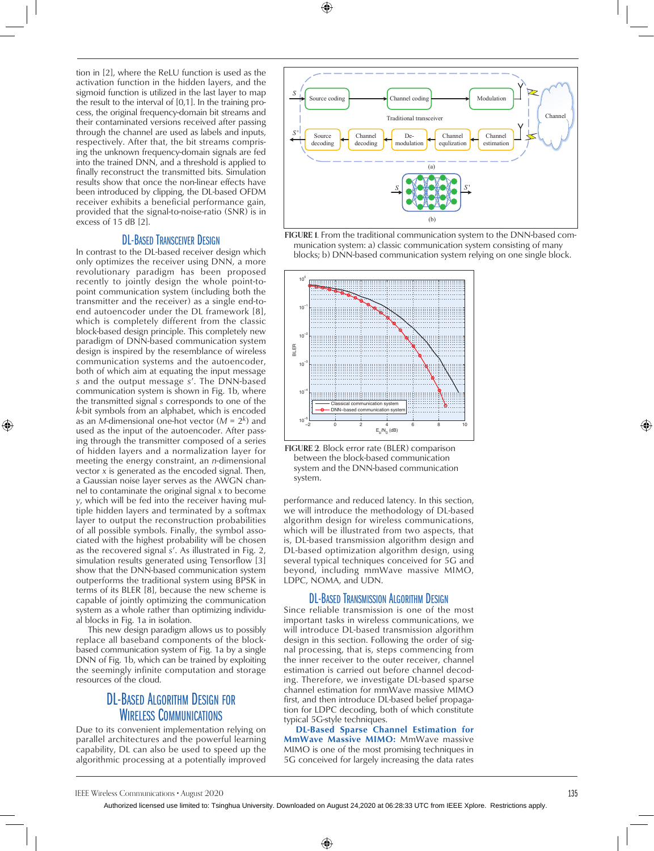tion in [2], where the ReLU function is used as the activation function in the hidden layers, and the sigmoid function is utilized in the last layer to map the result to the interval of [0,1]. In the training process, the original frequency-domain bit streams and their contaminated versions received after passing through the channel are used as labels and inputs, respectively. After that, the bit streams comprising the unknown frequency-domain signals are fed into the trained DNN, and a threshold is applied to finally reconstruct the transmitted bits. Simulation results show that once the non-linear effects have been introduced by clipping, the DL-based OFDM receiver exhibits a beneficial performance gain, provided that the signal-to-noise-ratio (SNR) is in excess of 15 dB [2].

# DL-BASED TRANSCEIVER DESIGN

In contrast to the DL-based receiver design which only optimizes the receiver using DNN, a more revolutionary paradigm has been proposed recently to jointly design the whole point-topoint communication system (including both the transmitter and the receiver) as a single end-toend autoencoder under the DL framework [8], which is completely different from the classic block-based design principle. This completely new paradigm of DNN-based communication system design is inspired by the resemblance of wireless communication systems and the autoencoder, both of which aim at equating the input message *s* and the output message *s*'. The DNN-based communication system is shown in Fig. 1b, where the transmitted signal *s* corresponds to one of the *k*-bit symbols from an alphabet, which is encoded as an *M*-dimensional one-hot vector (*M* = 2*k*) and used as the input of the autoencoder. After passing through the transmitter composed of a series of hidden layers and a normalization layer for meeting the energy constraint, an *n*-dimensional vector *x* is generated as the encoded signal. Then, a Gaussian noise layer serves as the AWGN channel to contaminate the original signal *x* to become *y*, which will be fed into the receiver having multiple hidden layers and terminated by a softmax layer to output the reconstruction probabilities of all possible symbols. Finally, the symbol associated with the highest probability will be chosen as the recovered signal *s*'. As illustrated in Fig. 2, simulation results generated using Tensorflow [3] show that the DNN-based communication system outperforms the traditional system using BPSK in terms of its BLER [8], because the new scheme is capable of jointly optimizing the communication system as a whole rather than optimizing individual blocks in Fig. 1a in isolation.

This new design paradigm allows us to possibly replace all baseband components of the blockbased communication system of Fig. 1a by a single DNN of Fig. 1b, which can be trained by exploiting the seemingly infinite computation and storage resources of the cloud.

# DL-Based Algorithm Design for Wireless Communications

Due to its convenient implementation relying on parallel architectures and the powerful learning capability, DL can also be used to speed up the algorithmic processing at a potentially improved









performance and reduced latency. In this section, we will introduce the methodology of DL-based algorithm design for wireless communications, which will be illustrated from two aspects, that is, DL-based transmission algorithm design and DL-based optimization algorithm design, using several typical techniques conceived for 5G and beyond, including mmWave massive MIMO, LDPC, NOMA, and UDN.

## DL-Based Transmission Algorithm Design

Since reliable transmission is one of the most important tasks in wireless communications, we will introduce DL-based transmission algorithm design in this section. Following the order of signal processing, that is, steps commencing from the inner receiver to the outer receiver, channel estimation is carried out before channel decoding. Therefore, we investigate DL-based sparse channel estimation for mmWave massive MIMO first, and then introduce DL-based belief propagation for LDPC decoding, both of which constitute typical 5G-style techniques.

DL-Based Sparse Channel Estimation for **MmWave Massive MIMO:** MmWave massive MIMO is one of the most promising techniques in 5G conceived for largely increasing the data rates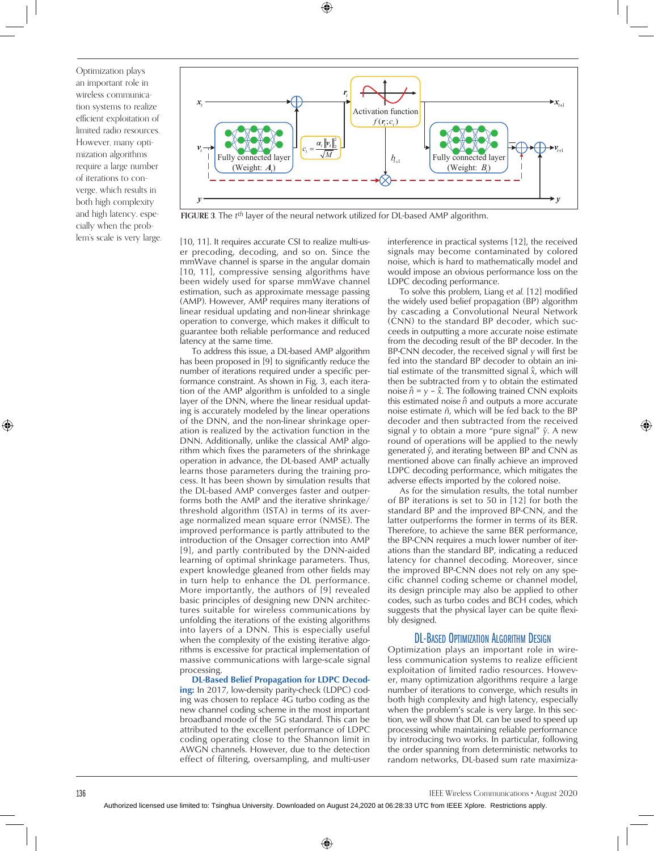Optimization plays an important role in wireless communication systems to realize efficient exploitation of limited radio resources. However, many optimization algorithms require a large number of iterations to converge, which results in both high complexity and high latency, especially when the problem's scale is very large.



**FIGURE 3.** The *tth* layer of the neural network utilized for DL-based AMP algorithm.

[10, 11]. It requires accurate CSI to realize multi-user precoding, decoding, and so on. Since the mmWave channel is sparse in the angular domain [10, 11], compressive sensing algorithms have been widely used for sparse mmWave channel estimation, such as approximate message passing (AMP). However, AMP requires many iterations of linear residual updating and non-linear shrinkage operation to converge, which makes it difficult to guarantee both reliable performance and reduced latency at the same time.

To address this issue, a DL-based AMP algorithm has been proposed in [9] to significantly reduce the number of iterations required under a specific performance constraint. As shown in Fig. 3, each iteration of the AMP algorithm is unfolded to a single layer of the DNN, where the linear residual updating is accurately modeled by the linear operations of the DNN, and the non-linear shrinkage operation is realized by the activation function in the DNN. Additionally, unlike the classical AMP algorithm which fixes the parameters of the shrinkage operation in advance, the DL-based AMP actually learns those parameters during the training process. It has been shown by simulation results that the DL-based AMP converges faster and outperforms both the AMP and the iterative shrinkage/ threshold algorithm (ISTA) in terms of its average normalized mean square error (NMSE). The improved performance is partly attributed to the introduction of the Onsager correction into AMP [9], and partly contributed by the DNN-aided learning of optimal shrinkage parameters. Thus, expert knowledge gleaned from other fields may in turn help to enhance the DL performance. More importantly, the authors of [9] revealed basic principles of designing new DNN architectures suitable for wireless communications by unfolding the iterations of the existing algorithms into layers of a DNN. This is especially useful when the complexity of the existing iterative algorithms is excessive for practical implementation of massive communications with large-scale signal processing.

DL-Based Belief Propagation for LDPC Decoding: In 2017, low-density parity-check (LDPC) coding was chosen to replace 4G turbo coding as the new channel coding scheme in the most important broadband mode of the 5G standard. This can be attributed to the excellent performance of LDPC coding operating close to the Shannon limit in AWGN channels. However, due to the detection effect of filtering, oversampling, and multi-user interference in practical systems [12], the received signals may become contaminated by colored noise, which is hard to mathematically model and would impose an obvious performance loss on the LDPC decoding performance.

To solve this problem, Liang *et al.* [12] modified the widely used belief propagation (BP) algorithm by cascading a Convolutional Neural Network (CNN) to the standard BP decoder, which succeeds in outputting a more accurate noise estimate from the decoding result of the BP decoder. In the BP-CNN decoder, the received signal *y* will first be fed into the standard BP decoder to obtain an initial estimate of the transmitted signal *x*^, which will then be subtracted from y to obtain the estimated noise  $\hat{n} = y - \hat{x}$ . The following trained CNN exploits this estimated noise  $\hat{n}$  and outputs a more accurate noise estimate *ñ*, which will be fed back to the BP decoder and then subtracted from the received signal *y* to obtain a more "pure signal"  $\tilde{y}$ . A new round of operations will be applied to the newly generated ˜*y*, and iterating between BP and CNN as mentioned above can finally achieve an improved LDPC decoding performance, which mitigates the adverse effects imported by the colored noise.

As for the simulation results, the total number of BP iterations is set to 50 in [12] for both the standard BP and the improved BP-CNN, and the latter outperforms the former in terms of its BER. Therefore, to achieve the same BER performance, the BP-CNN requires a much lower number of iterations than the standard BP, indicating a reduced latency for channel decoding. Moreover, since the improved BP-CNN does not rely on any specific channel coding scheme or channel model, its design principle may also be applied to other codes, such as turbo codes and BCH codes, which suggests that the physical layer can be quite flexibly designed.

# DL-Based Optimization Algorithm Design

Optimization plays an important role in wireless communication systems to realize efficient exploitation of limited radio resources. However, many optimization algorithms require a large number of iterations to converge, which results in both high complexity and high latency, especially when the problem's scale is very large. In this section, we will show that DL can be used to speed up processing while maintaining reliable performance by introducing two works. In particular, following the order spanning from deterministic networks to random networks, DL-based sum rate maximiza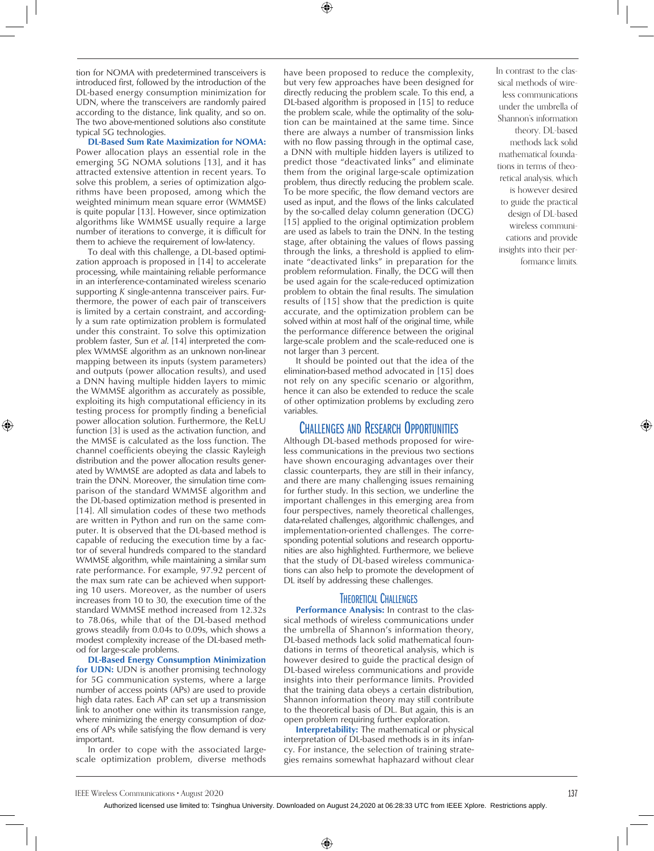tion for NOMA with predetermined transceivers is introduced first, followed by the introduction of the DL-based energy consumption minimization for UDN, where the transceivers are randomly paired according to the distance, link quality, and so on. The two above-mentioned solutions also constitute typical 5G technologies.

DL-Based Sum Rate Maximization for NOMA: Power allocation plays an essential role in the emerging 5G NOMA solutions [13], and it has attracted extensive attention in recent years. To solve this problem, a series of optimization algorithms have been proposed, among which the weighted minimum mean square error (WMMSE) is quite popular [13]. However, since optimization algorithms like WMMSE usually require a large number of iterations to converge, it is difficult for them to achieve the requirement of low-latency.

To deal with this challenge, a DL-based optimization approach is proposed in [14] to accelerate processing, while maintaining reliable performance in an interference-contaminated wireless scenario supporting *K* single-antenna transceiver pairs. Furthermore, the power of each pair of transceivers is limited by a certain constraint, and accordingly a sum rate optimization problem is formulated under this constraint. To solve this optimization problem faster, Sun *et al*. [14] interpreted the complex WMMSE algorithm as an unknown non-linear mapping between its inputs (system parameters) and outputs (power allocation results), and used a DNN having multiple hidden layers to mimic the WMMSE algorithm as accurately as possible, exploiting its high computational efficiency in its testing process for promptly finding a beneficial power allocation solution. Furthermore, the ReLU function [3] is used as the activation function, and the MMSE is calculated as the loss function. The channel coefficients obeying the classic Rayleigh distribution and the power allocation results generated by WMMSE are adopted as data and labels to train the DNN. Moreover, the simulation time comparison of the standard WMMSE algorithm and the DL-based optimization method is presented in [14]. All simulation codes of these two methods are written in Python and run on the same computer. It is observed that the DL-based method is capable of reducing the execution time by a factor of several hundreds compared to the standard WMMSE algorithm, while maintaining a similar sum rate performance. For example, 97.92 percent of the max sum rate can be achieved when supporting 10 users. Moreover, as the number of users increases from 10 to 30, the execution time of the standard WMMSE method increased from 12.32s to 78.06s, while that of the DL-based method grows steadily from 0.04s to 0.09s, which shows a modest complexity increase of the DL-based method for large-scale problems.

DL-Based Energy Consumption Minimization for UDN: UDN is another promising technology for 5G communication systems, where a large number of access points (APs) are used to provide high data rates. Each AP can set up a transmission link to another one within its transmission range, where minimizing the energy consumption of dozens of APs while satisfying the flow demand is very important.

In order to cope with the associated largescale optimization problem, diverse methods have been proposed to reduce the complexity, but very few approaches have been designed for directly reducing the problem scale. To this end, a DL-based algorithm is proposed in [15] to reduce the problem scale, while the optimality of the solution can be maintained at the same time. Since there are always a number of transmission links with no flow passing through in the optimal case, a DNN with multiple hidden layers is utilized to predict those "deactivated links" and eliminate them from the original large-scale optimization problem, thus directly reducing the problem scale. To be more specific, the flow demand vectors are used as input, and the flows of the links calculated by the so-called delay column generation (DCG) [15] applied to the original optimization problem are used as labels to train the DNN. In the testing stage, after obtaining the values of flows passing through the links, a threshold is applied to eliminate "deactivated links" in preparation for the problem reformulation. Finally, the DCG will then be used again for the scale-reduced optimization problem to obtain the final results. The simulation results of [15] show that the prediction is quite accurate, and the optimization problem can be solved within at most half of the original time, while the performance difference between the original large-scale problem and the scale-reduced one is not larger than 3 percent.

It should be pointed out that the idea of the elimination-based method advocated in [15] does not rely on any specific scenario or algorithm, hence it can also be extended to reduce the scale of other optimization problems by excluding zero variables.

# Challenges and Research Opportunities

Although DL-based methods proposed for wireless communications in the previous two sections have shown encouraging advantages over their classic counterparts, they are still in their infancy, and there are many challenging issues remaining for further study. In this section, we underline the important challenges in this emerging area from four perspectives, namely theoretical challenges, data-related challenges, algorithmic challenges, and implementation-oriented challenges. The corresponding potential solutions and research opportunities are also highlighted. Furthermore, we believe that the study of DL-based wireless communications can also help to promote the development of DL itself by addressing these challenges.

## **THEORETICAL CHALLENGES**

Performance Analysis: In contrast to the classical methods of wireless communications under the umbrella of Shannon's information theory, DL-based methods lack solid mathematical foundations in terms of theoretical analysis, which is however desired to guide the practical design of DL-based wireless communications and provide insights into their performance limits. Provided that the training data obeys a certain distribution, Shannon information theory may still contribute to the theoretical basis of DL. But again, this is an open problem requiring further exploration.

Interpretability: The mathematical or physical interpretation of DL-based methods is in its infancy. For instance, the selection of training strategies remains somewhat haphazard without clear In contrast to the classical methods of wireless communications under the umbrella of Shannon's information theory, DL-based methods lack solid mathematical foundations in terms of theoretical analysis, which is however desired to guide the practical design of DL-based wireless communications and provide insights into their performance limits.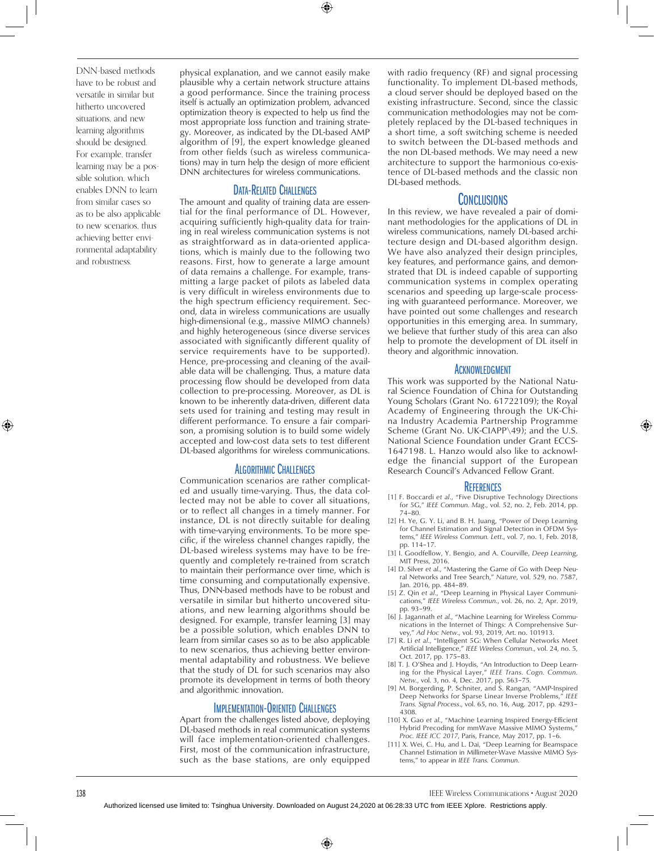DNN-based methods have to be robust and versatile in similar but hitherto uncovered situations, and new learning algorithms should be designed. For example, transfer learning may be a possible solution, which enables DNN to learn from similar cases so as to be also applicable to new scenarios, thus achieving better environmental adaptability and robustness.

physical explanation, and we cannot easily make plausible why a certain network structure attains a good performance. Since the training process itself is actually an optimization problem, advanced optimization theory is expected to help us find the most appropriate loss function and training strategy. Moreover, as indicated by the DL-based AMP algorithm of [9], the expert knowledge gleaned from other fields (such as wireless communications) may in turn help the design of more efficient DNN architectures for wireless communications.

# Data-Related Challenges

The amount and quality of training data are essential for the final performance of DL. However, acquiring sufficiently high-quality data for training in real wireless communication systems is not as straightforward as in data-oriented applications, which is mainly due to the following two reasons. First, how to generate a large amount of data remains a challenge. For example, transmitting a large packet of pilots as labeled data is very difficult in wireless environments due to the high spectrum efficiency requirement. Second, data in wireless communications are usually high-dimensional (e.g., massive MIMO channels) and highly heterogeneous (since diverse services associated with significantly different quality of service requirements have to be supported). Hence, pre-processing and cleaning of the available data will be challenging. Thus, a mature data processing flow should be developed from data collection to pre-processing. Moreover, as DL is known to be inherently data-driven, different data sets used for training and testing may result in different performance. To ensure a fair comparison, a promising solution is to build some widely accepted and low-cost data sets to test different DL-based algorithms for wireless communications.

# Algorithmic Challenges

Communication scenarios are rather complicated and usually time-varying. Thus, the data collected may not be able to cover all situations, or to reflect all changes in a timely manner. For instance, DL is not directly suitable for dealing with time-varying environments. To be more specific, if the wireless channel changes rapidly, the DL-based wireless systems may have to be frequently and completely re-trained from scratch to maintain their performance over time, which is time consuming and computationally expensive. Thus, DNN-based methods have to be robust and versatile in similar but hitherto uncovered situations, and new learning algorithms should be designed. For example, transfer learning [3] may be a possible solution, which enables DNN to learn from similar cases so as to be also applicable to new scenarios, thus achieving better environmental adaptability and robustness. We believe that the study of DL for such scenarios may also promote its development in terms of both theory and algorithmic innovation.

## Implementation-Oriented Challenges

Apart from the challenges listed above, deploying DL-based methods in real communication systems will face implementation-oriented challenges. First, most of the communication infrastructure, such as the base stations, are only equipped with radio frequency (RF) and signal processing functionality. To implement DL-based methods, a cloud server should be deployed based on the existing infrastructure. Second, since the classic communication methodologies may not be completely replaced by the DL-based techniques in a short time, a soft switching scheme is needed to switch between the DL-based methods and the non DL-based methods. We may need a new architecture to support the harmonious co-existence of DL-based methods and the classic non DL-based methods.

#### Conclusions

In this review, we have revealed a pair of dominant methodologies for the applications of DL in wireless communications, namely DL-based architecture design and DL-based algorithm design. We have also analyzed their design principles, key features, and performance gains, and demonstrated that DL is indeed capable of supporting communication systems in complex operating scenarios and speeding up large-scale processing with guaranteed performance. Moreover, we have pointed out some challenges and research opportunities in this emerging area. In summary, we believe that further study of this area can also help to promote the development of DL itself in theory and algorithmic innovation.

#### **ACKNOWLEDGMENT**

This work was supported by the National Natural Science Foundation of China for Outstanding Young Scholars (Grant No. 61722109); the Royal Academy of Engineering through the UK-China Industry Academia Partnership Programme Scheme (Grant No. UK-CIAPP\49); and the U.S. National Science Foundation under Grant ECCS-1647198. L. Hanzo would also like to acknowledge the financial support of the European Research Council's Advanced Fellow Grant.

#### **REFERENCES**

- [1] F. Boccardi *et al*., "Five Disruptive Technology Directions for 5G," *IEEE Commun. Mag*., vol. 52, no. 2, Feb. 2014, pp. 74–80.
- [2] H. Ye, G. Y. Li, and B. H. Juang, "Power of Deep Learning for Channel Estimation and Signal Detection in OFDM Systems," *IEEE Wireless Commun. Lett*., vol. 7, no. 1, Feb. 2018, pp. 114–17.
- [3] I. Goodfellow, Y. Bengio, and A. Courville, *Deep Learning*, MIT Press, 2016.
- [4] D. Silver *et al*., "Mastering the Game of Go with Deep Neural Networks and Tree Search," *Nature*, vol. 529, no. 7587,
- Jan. 2016, pp. 484–89. [5] Z. Qin *et al*., "Deep Learning in Physical Layer Communications," *IEEE Wireless Commun*., vol. 26, no. 2, Apr. 2019, pp. 93–99.
- [6] J. Jagannath *et al.*, "Machine Learning for Wireless Communications in the Internet of Things: A Comprehensive Survey," *Ad Hoc Netw*., vol. 93, 2019, Art. no. 101913.
- [7] R. Li *et al*., "Intelligent 5G: When Cellular Networks Meet Artificial Intelligence," *IEEE Wireless Commun*., vol. 24, no. 5, Oct. 2017, pp. 175–83.
- [8] T. J. O'Shea and J. Hoydis, "An Introduction to Deep Learn-ing for the Physical Layer," *IEEE Trans. Cogn. Commun. Netw.*, vol. 3, no. 4, Dec. 2017, pp. 563–75.
- [9] M. Borgerding, P. Schniter, and S. Rangan, "AMP-Inspired Deep Networks for Sparse Linear Inverse Problems," *IEEE Trans. Signal Process*., vol. 65, no. 16, Aug. 2017, pp. 4293– 4308.
- [10] X. Gao *et al*., "Machine Learning Inspired Energy-Efficient Hybrid Precoding for mmWave Massive MIMO Systems," *Proc. IEEE ICC 2017*, Paris, France, May 2017, pp. 1–6.
- [11] X. Wei, C. Hu, and L. Dai, "Deep Learning for Beamspace Channel Estimation in Millimeter-Wave Massive MIMO Systems," to appear in *IEEE Trans. Commun*.